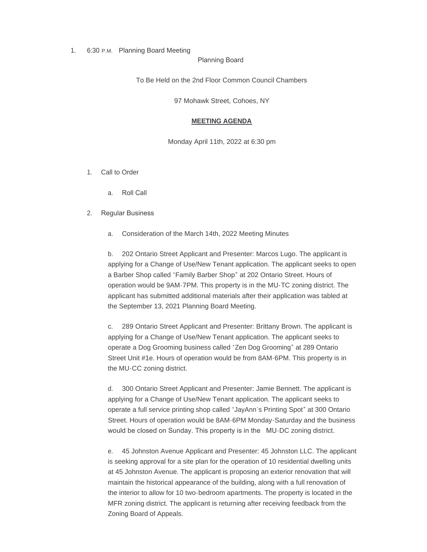### 1. 6:30 P.M. Planning Board Meeting

Planning Board

To Be Held on the 2nd Floor Common Council Chambers

97 Mohawk Street, Cohoes, NY

# **MEETING AGENDA**

Monday April 11th, 2022 at 6:30 pm

- 1. Call to Order
	- a. Roll Call

# 2. Regular Business

a. Consideration of the March 14th, 2022 Meeting Minutes

b. 202 Ontario Street Applicant and Presenter: Marcos Lugo. The applicant is applying for a Change of Use/New Tenant application. The applicant seeks to open a Barber Shop called "Family Barber Shop" at 202 Ontario Street. Hours of operation would be 9AM-7PM. This property is in the MU-TC zoning district. The applicant has submitted additional materials after their application was tabled at the September 13, 2021 Planning Board Meeting.

c. 289 Ontario Street Applicant and Presenter: Brittany Brown. The applicant is applying for a Change of Use/New Tenant application. The applicant seeks to operate a Dog Grooming business called "Zen Dog Grooming" at 289 Ontario Street Unit #1e. Hours of operation would be from 8AM-6PM. This property is in the MU-CC zoning district.

d. 300 Ontario Street Applicant and Presenter: Jamie Bennett. The applicant is applying for a Change of Use/New Tenant application. The applicant seeks to operate a full service printing shop called "JayAnn's Printing Spot" at 300 Ontario Street. Hours of operation would be 8AM-6PM Monday-Saturday and the business would be closed on Sunday. This property is in the MU-DC zoning district.

e. 45 Johnston Avenue Applicant and Presenter: 45 Johnston LLC. The applicant is seeking approval for a site plan for the operation of 10 residential dwelling units at 45 Johnston Avenue. The applicant is proposing an exterior renovation that will maintain the historical appearance of the building, along with a full renovation of the interior to allow for 10 two-bedroom apartments. The property is located in the MFR zoning district. The applicant is returning after receiving feedback from the Zoning Board of Appeals.